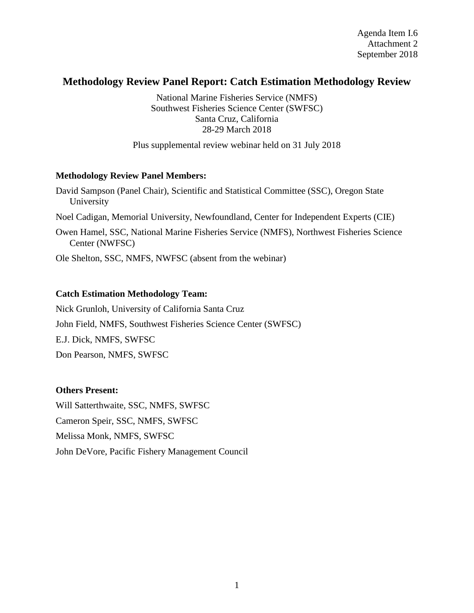Agenda Item I.6 Attachment 2 September 2018

# **Methodology Review Panel Report: Catch Estimation Methodology Review**

National Marine Fisheries Service (NMFS) Southwest Fisheries Science Center (SWFSC) Santa Cruz, California 28-29 March 2018

Plus supplemental review webinar held on 31 July 2018

#### **Methodology Review Panel Members:**

David Sampson (Panel Chair), Scientific and Statistical Committee (SSC), Oregon State University Noel Cadigan, Memorial University, Newfoundland, Center for Independent Experts (CIE) Owen Hamel, SSC, National Marine Fisheries Service (NMFS), Northwest Fisheries Science Center (NWFSC)

Ole Shelton, SSC, NMFS, NWFSC (absent from the webinar)

## **Catch Estimation Methodology Team:**

Nick Grunloh, University of California Santa Cruz John Field, NMFS, Southwest Fisheries Science Center (SWFSC) E.J. Dick, NMFS, SWFSC Don Pearson, NMFS, SWFSC

#### **Others Present:**

Will Satterthwaite, SSC, NMFS, SWFSC Cameron Speir, SSC, NMFS, SWFSC Melissa Monk, NMFS, SWFSC John DeVore, Pacific Fishery Management Council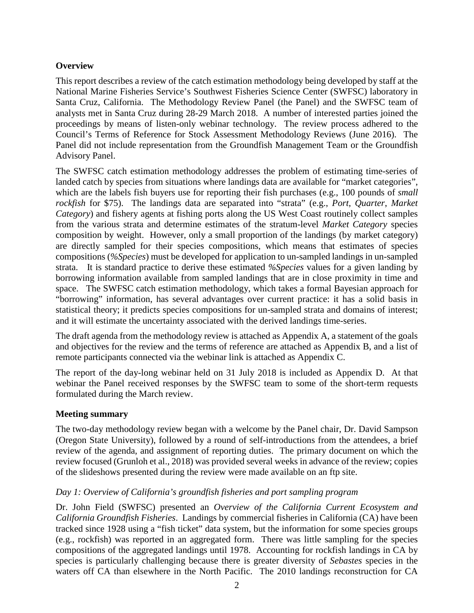## **Overview**

This report describes a review of the catch estimation methodology being developed by staff at the National Marine Fisheries Service's Southwest Fisheries Science Center (SWFSC) laboratory in Santa Cruz, California. The Methodology Review Panel (the Panel) and the SWFSC team of analysts met in Santa Cruz during 28-29 March 2018. A number of interested parties joined the proceedings by means of listen-only webinar technology. The review process adhered to the Council's Terms of Reference for Stock Assessment Methodology Reviews (June 2016). The Panel did not include representation from the Groundfish Management Team or the Groundfish Advisory Panel.

The SWFSC catch estimation methodology addresses the problem of estimating time-series of landed catch by species from situations where landings data are available for "market categories", which are the labels fish buyers use for reporting their fish purchases (e.g., 100 pounds of *small rockfish* for \$75). The landings data are separated into "strata" (e.g., *Port*, *Quarter*, *Market Category*) and fishery agents at fishing ports along the US West Coast routinely collect samples from the various strata and determine estimates of the stratum-level *Market Category* species composition by weight. However, only a small proportion of the landings (by market category) are directly sampled for their species compositions, which means that estimates of species compositions (*%Species*) must be developed for application to un-sampled landings in un-sampled strata. It is standard practice to derive these estimated *%Species* values for a given landing by borrowing information available from sampled landings that are in close proximity in time and space. The SWFSC catch estimation methodology, which takes a formal Bayesian approach for "borrowing" information, has several advantages over current practice: it has a solid basis in statistical theory; it predicts species compositions for un-sampled strata and domains of interest; and it will estimate the uncertainty associated with the derived landings time-series.

The draft agenda from the methodology review is attached as Appendix A, a statement of the goals and objectives for the review and the terms of reference are attached as Appendix B, and a list of remote participants connected via the webinar link is attached as Appendix C.

The report of the day-long webinar held on 31 July 2018 is included as Appendix D. At that webinar the Panel received responses by the SWFSC team to some of the short-term requests formulated during the March review.

## **Meeting summary**

The two-day methodology review began with a welcome by the Panel chair, Dr. David Sampson (Oregon State University), followed by a round of self-introductions from the attendees, a brief review of the agenda, and assignment of reporting duties. The primary document on which the review focused (Grunloh et al., 2018) was provided several weeks in advance of the review; copies of the slideshows presented during the review were made available on an ftp site.

## *Day 1: Overview of California's groundfish fisheries and port sampling program*

Dr. John Field (SWFSC) presented an *Overview of the California Current Ecosystem and California Groundfish Fisheries*. Landings by commercial fisheries in California (CA) have been tracked since 1928 using a "fish ticket" data system, but the information for some species groups (e.g., rockfish) was reported in an aggregated form. There was little sampling for the species compositions of the aggregated landings until 1978. Accounting for rockfish landings in CA by species is particularly challenging because there is greater diversity of *Sebastes* species in the waters off CA than elsewhere in the North Pacific. The 2010 landings reconstruction for CA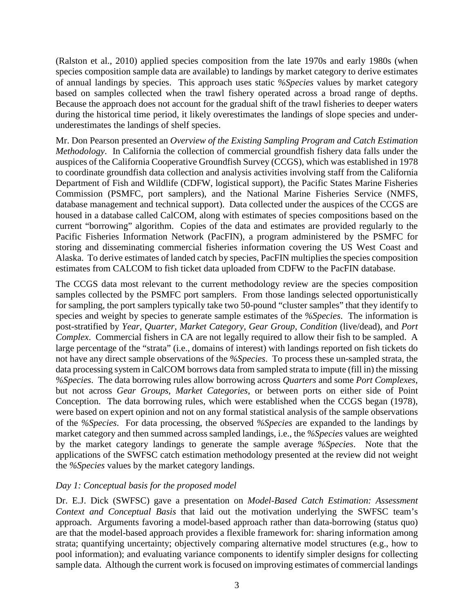(Ralston et al., 2010) applied species composition from the late 1970s and early 1980s (when species composition sample data are available) to landings by market category to derive estimates of annual landings by species. This approach uses static *%Species* values by market category based on samples collected when the trawl fishery operated across a broad range of depths. Because the approach does not account for the gradual shift of the trawl fisheries to deeper waters during the historical time period, it likely overestimates the landings of slope species and underunderestimates the landings of shelf species.

Mr. Don Pearson presented an *Overview of the Existing Sampling Program and Catch Estimation Methodology*. In California the collection of commercial groundfish fishery data falls under the auspices of the California Cooperative Groundfish Survey (CCGS), which was established in 1978 to coordinate groundfish data collection and analysis activities involving staff from the California Department of Fish and Wildlife (CDFW, logistical support), the Pacific States Marine Fisheries Commission (PSMFC, port samplers), and the National Marine Fisheries Service (NMFS, database management and technical support). Data collected under the auspices of the CCGS are housed in a database called CalCOM, along with estimates of species compositions based on the current "borrowing" algorithm. Copies of the data and estimates are provided regularly to the Pacific Fisheries Information Network (PacFIN), a program administered by the PSMFC for storing and disseminating commercial fisheries information covering the US West Coast and Alaska. To derive estimates of landed catch by species, PacFIN multiplies the species composition estimates from CALCOM to fish ticket data uploaded from CDFW to the PacFIN database.

The CCGS data most relevant to the current methodology review are the species composition samples collected by the PSMFC port samplers. From those landings selected opportunistically for sampling, the port samplers typically take two 50-pound "cluster samples" that they identify to species and weight by species to generate sample estimates of the *%Species*. The information is post-stratified by *Year*, *Quarter*, *Market Category*, *Gear Group*, *Condition* (live/dead), and *Port Complex*. Commercial fishers in CA are not legally required to allow their fish to be sampled. A large percentage of the "strata" (i.e., domains of interest) with landings reported on fish tickets do not have any direct sample observations of the *%Species*. To process these un-sampled strata, the data processing system in CalCOM borrows data from sampled strata to impute (fill in) the missing *%Species*. The data borrowing rules allow borrowing across *Quarters* and some *Port Complexes*, but not across *Gear Groups*, *Market Categories*, or between ports on either side of Point Conception. The data borrowing rules, which were established when the CCGS began (1978), were based on expert opinion and not on any formal statistical analysis of the sample observations of the *%Species*. For data processing, the observed *%Species* are expanded to the landings by market category and then summed across sampled landings, i.e., the *%Species* values are weighted by the market category landings to generate the sample average *%Species*. Note that the applications of the SWFSC catch estimation methodology presented at the review did not weight the *%Species* values by the market category landings.

## *Day 1: Conceptual basis for the proposed model*

Dr. E.J. Dick (SWFSC) gave a presentation on *Model-Based Catch Estimation: Assessment Context and Conceptual Basis* that laid out the motivation underlying the SWFSC team's approach. Arguments favoring a model-based approach rather than data-borrowing (status quo) are that the model-based approach provides a flexible framework for: sharing information among strata; quantifying uncertainty; objectively comparing alternative model structures (e.g., how to pool information); and evaluating variance components to identify simpler designs for collecting sample data. Although the current work is focused on improving estimates of commercial landings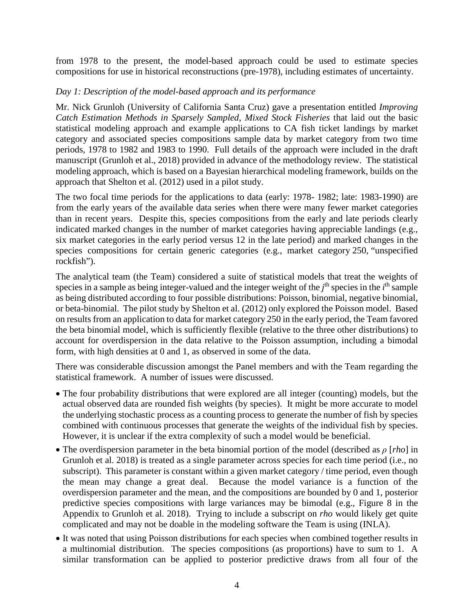from 1978 to the present, the model-based approach could be used to estimate species compositions for use in historical reconstructions (pre-1978), including estimates of uncertainty.

### *Day 1: Description of the model-based approach and its performance*

Mr. Nick Grunloh (University of California Santa Cruz) gave a presentation entitled *Improving Catch Estimation Methods in Sparsely Sampled, Mixed Stock Fisheries* that laid out the basic statistical modeling approach and example applications to CA fish ticket landings by market category and associated species compositions sample data by market category from two time periods, 1978 to 1982 and 1983 to 1990. Full details of the approach were included in the draft manuscript (Grunloh et al., 2018) provided in advance of the methodology review. The statistical modeling approach, which is based on a Bayesian hierarchical modeling framework, builds on the approach that Shelton et al. (2012) used in a pilot study.

The two focal time periods for the applications to data (early: 1978- 1982; late: 1983-1990) are from the early years of the available data series when there were many fewer market categories than in recent years. Despite this, species compositions from the early and late periods clearly indicated marked changes in the number of market categories having appreciable landings (e.g., six market categories in the early period versus 12 in the late period) and marked changes in the species compositions for certain generic categories (e.g., market category 250, "unspecified rockfish").

The analytical team (the Team) considered a suite of statistical models that treat the weights of species in a sample as being integer-valued and the integer weight of the *j*<sup>th</sup> species in the *i*<sup>th</sup> sample as being distributed according to four possible distributions: Poisson, binomial, negative binomial, or beta-binomial. The pilot study by Shelton et al. (2012) only explored the Poisson model. Based on results from an application to data for market category 250 in the early period, the Team favored the beta binomial model, which is sufficiently flexible (relative to the three other distributions) to account for overdispersion in the data relative to the Poisson assumption, including a bimodal form, with high densities at 0 and 1, as observed in some of the data.

There was considerable discussion amongst the Panel members and with the Team regarding the statistical framework. A number of issues were discussed.

- The four probability distributions that were explored are all integer (counting) models, but the actual observed data are rounded fish weights (by species). It might be more accurate to model the underlying stochastic process as a counting process to generate the number of fish by species combined with continuous processes that generate the weights of the individual fish by species. However, it is unclear if the extra complexity of such a model would be beneficial.
- The overdispersion parameter in the beta binomial portion of the model (described as *ρ* [*rho*] in Grunloh et al. 2018) is treated as a single parameter across species for each time period (i.e., no subscript). This parameter is constant within a given market category / time period, even though the mean may change a great deal. Because the model variance is a function of the overdispersion parameter and the mean, and the compositions are bounded by 0 and 1, posterior predictive species compositions with large variances may be bimodal (e.g., Figure 8 in the Appendix to Grunloh et al. 2018). Trying to include a subscript on *rho* would likely get quite complicated and may not be doable in the modeling software the Team is using (INLA).
- It was noted that using Poisson distributions for each species when combined together results in a multinomial distribution. The species compositions (as proportions) have to sum to 1. A similar transformation can be applied to posterior predictive draws from all four of the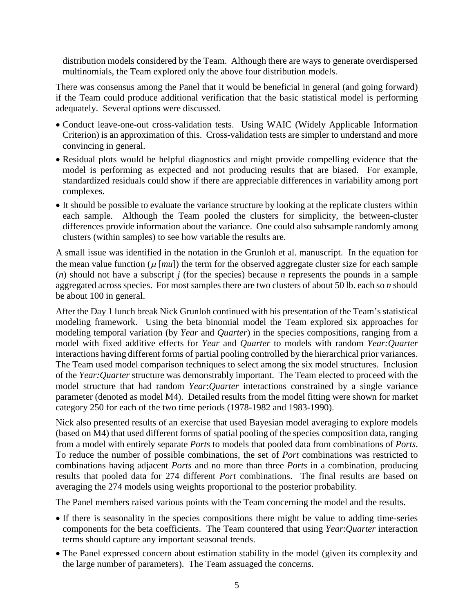distribution models considered by the Team. Although there are ways to generate overdispersed multinomials, the Team explored only the above four distribution models.

There was consensus among the Panel that it would be beneficial in general (and going forward) if the Team could produce additional verification that the basic statistical model is performing adequately. Several options were discussed.

- Conduct leave-one-out cross-validation tests. Using WAIC (Widely Applicable Information Criterion) is an approximation of this. Cross-validation tests are simpler to understand and more convincing in general.
- Residual plots would be helpful diagnostics and might provide compelling evidence that the model is performing as expected and not producing results that are biased. For example, standardized residuals could show if there are appreciable differences in variability among port complexes.
- It should be possible to evaluate the variance structure by looking at the replicate clusters within each sample. Although the Team pooled the clusters for simplicity, the between-cluster differences provide information about the variance. One could also subsample randomly among clusters (within samples) to see how variable the results are.

A small issue was identified in the notation in the Grunloh et al. manuscript. In the equation for the mean value function  $(\mu \text{[mu]})$  the term for the observed aggregate cluster size for each sample (*n*) should not have a subscript *j* (for the species) because *n* represents the pounds in a sample aggregated across species. For most samples there are two clusters of about 50 lb. each so *n* should be about 100 in general.

After the Day 1 lunch break Nick Grunloh continued with his presentation of the Team's statistical modeling framework. Using the beta binomial model the Team explored six approaches for modeling temporal variation (by *Year* and *Quarter*) in the species compositions, ranging from a model with fixed additive effects for *Year* and *Quarter* to models with random *Year:Quarter* interactions having different forms of partial pooling controlled by the hierarchical prior variances. The Team used model comparison techniques to select among the six model structures. Inclusion of the *Year:Quarter* structure was demonstrably important. The Team elected to proceed with the model structure that had random *Year*:*Quarter* interactions constrained by a single variance parameter (denoted as model M4). Detailed results from the model fitting were shown for market category 250 for each of the two time periods (1978-1982 and 1983-1990).

Nick also presented results of an exercise that used Bayesian model averaging to explore models (based on M4) that used different forms of spatial pooling of the species composition data, ranging from a model with entirely separate *Ports* to models that pooled data from combinations of *Ports*. To reduce the number of possible combinations, the set of *Port* combinations was restricted to combinations having adjacent *Ports* and no more than three *Ports* in a combination, producing results that pooled data for 274 different *Port* combinations. The final results are based on averaging the 274 models using weights proportional to the posterior probability.

The Panel members raised various points with the Team concerning the model and the results.

- If there is seasonality in the species compositions there might be value to adding time-series components for the beta coefficients. The Team countered that using *Year*:*Quarter* interaction terms should capture any important seasonal trends.
- The Panel expressed concern about estimation stability in the model (given its complexity and the large number of parameters). The Team assuaged the concerns.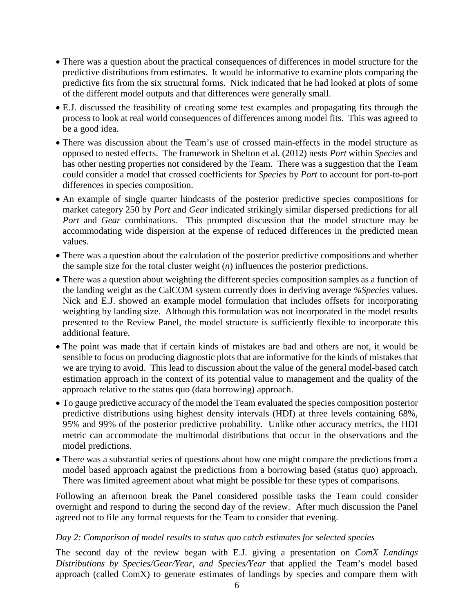- There was a question about the practical consequences of differences in model structure for the predictive distributions from estimates. It would be informative to examine plots comparing the predictive fits from the six structural forms. Nick indicated that he had looked at plots of some of the different model outputs and that differences were generally small.
- E.J. discussed the feasibility of creating some test examples and propagating fits through the process to look at real world consequences of differences among model fits. This was agreed to be a good idea.
- There was discussion about the Team's use of crossed main-effects in the model structure as opposed to nested effects. The framework in Shelton et al. (2012) nests *Port* within *Species* and has other nesting properties not considered by the Team. There was a suggestion that the Team could consider a model that crossed coefficients for *Species* by *Port* to account for port-to-port differences in species composition.
- An example of single quarter hindcasts of the posterior predictive species compositions for market category 250 by *Port* and *Gear* indicated strikingly similar dispersed predictions for all *Port* and *Gear* combinations. This prompted discussion that the model structure may be accommodating wide dispersion at the expense of reduced differences in the predicted mean values.
- There was a question about the calculation of the posterior predictive compositions and whether the sample size for the total cluster weight (*n*) influences the posterior predictions.
- There was a question about weighting the different species composition samples as a function of the landing weight as the CalCOM system currently does in deriving average *%Species* values. Nick and E.J. showed an example model formulation that includes offsets for incorporating weighting by landing size. Although this formulation was not incorporated in the model results presented to the Review Panel, the model structure is sufficiently flexible to incorporate this additional feature.
- The point was made that if certain kinds of mistakes are bad and others are not, it would be sensible to focus on producing diagnostic plots that are informative for the kinds of mistakes that we are trying to avoid. This lead to discussion about the value of the general model-based catch estimation approach in the context of its potential value to management and the quality of the approach relative to the status quo (data borrowing) approach.
- To gauge predictive accuracy of the model the Team evaluated the species composition posterior predictive distributions using highest density intervals (HDI) at three levels containing 68%, 95% and 99% of the posterior predictive probability. Unlike other accuracy metrics, the HDI metric can accommodate the multimodal distributions that occur in the observations and the model predictions.
- There was a substantial series of questions about how one might compare the predictions from a model based approach against the predictions from a borrowing based (status quo) approach. There was limited agreement about what might be possible for these types of comparisons.

Following an afternoon break the Panel considered possible tasks the Team could consider overnight and respond to during the second day of the review. After much discussion the Panel agreed not to file any formal requests for the Team to consider that evening.

#### *Day 2: Comparison of model results to status quo catch estimates for selected species*

The second day of the review began with E.J. giving a presentation on *ComX Landings Distributions by Species/Gear/Year, and Species/Year* that applied the Team's model based approach (called ComX) to generate estimates of landings by species and compare them with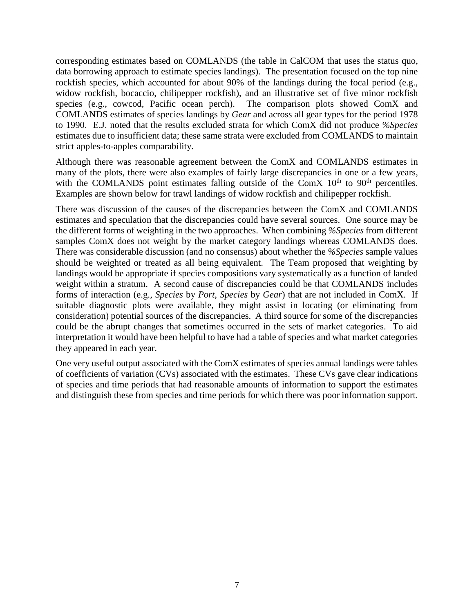corresponding estimates based on COMLANDS (the table in CalCOM that uses the status quo, data borrowing approach to estimate species landings). The presentation focused on the top nine rockfish species, which accounted for about 90% of the landings during the focal period (e.g., widow rockfish, bocaccio, chilipepper rockfish), and an illustrative set of five minor rockfish species (e.g., cowcod, Pacific ocean perch). The comparison plots showed ComX and COMLANDS estimates of species landings by *Gear* and across all gear types for the period 1978 to 1990. E.J. noted that the results excluded strata for which ComX did not produce *%Species* estimates due to insufficient data; these same strata were excluded from COMLANDS to maintain strict apples-to-apples comparability.

Although there was reasonable agreement between the ComX and COMLANDS estimates in many of the plots, there were also examples of fairly large discrepancies in one or a few years, with the COMLANDS point estimates falling outside of the ComX  $10<sup>th</sup>$  to  $90<sup>th</sup>$  percentiles. Examples are shown below for trawl landings of widow rockfish and chilipepper rockfish.

There was discussion of the causes of the discrepancies between the ComX and COMLANDS estimates and speculation that the discrepancies could have several sources. One source may be the different forms of weighting in the two approaches. When combining *%Species* from different samples ComX does not weight by the market category landings whereas COMLANDS does. There was considerable discussion (and no consensus) about whether the *%Species* sample values should be weighted or treated as all being equivalent. The Team proposed that weighting by landings would be appropriate if species compositions vary systematically as a function of landed weight within a stratum. A second cause of discrepancies could be that COMLANDS includes forms of interaction (e.g., *Species* by *Port*, *Species* by *Gear*) that are not included in ComX. If suitable diagnostic plots were available, they might assist in locating (or eliminating from consideration) potential sources of the discrepancies. A third source for some of the discrepancies could be the abrupt changes that sometimes occurred in the sets of market categories. To aid interpretation it would have been helpful to have had a table of species and what market categories they appeared in each year.

One very useful output associated with the ComX estimates of species annual landings were tables of coefficients of variation (CVs) associated with the estimates. These CVs gave clear indications of species and time periods that had reasonable amounts of information to support the estimates and distinguish these from species and time periods for which there was poor information support.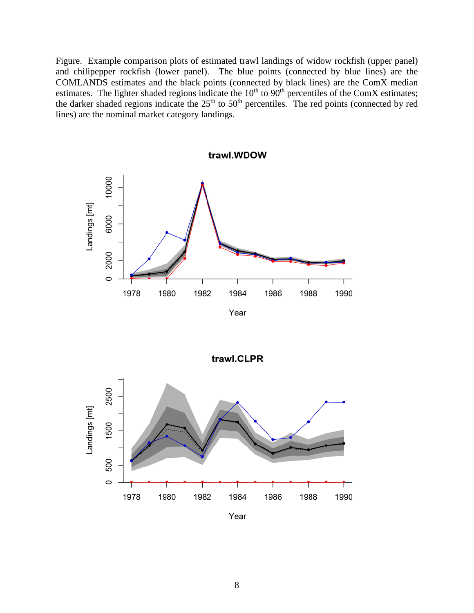Figure. Example comparison plots of estimated trawl landings of widow rockfish (upper panel) and chilipepper rockfish (lower panel). The blue points (connected by blue lines) are the COMLANDS estimates and the black points (connected by black lines) are the ComX median estimates. The lighter shaded regions indicate the  $10<sup>th</sup>$  to  $90<sup>th</sup>$  percentiles of the ComX estimates; the darker shaded regions indicate the  $25<sup>th</sup>$  to  $50<sup>th</sup>$  percentiles. The red points (connected by red lines) are the nominal market category landings.





Year

8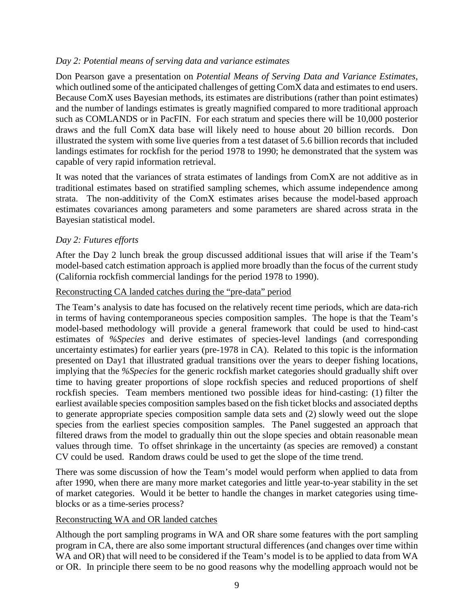#### *Day 2: Potential means of serving data and variance estimates*

Don Pearson gave a presentation on *Potential Means of Serving Data and Variance Estimates*, which outlined some of the anticipated challenges of getting ComX data and estimates to end users. Because ComX uses Bayesian methods, its estimates are distributions (rather than point estimates) and the number of landings estimates is greatly magnified compared to more traditional approach such as COMLANDS or in PacFIN. For each stratum and species there will be 10,000 posterior draws and the full ComX data base will likely need to house about 20 billion records. Don illustrated the system with some live queries from a test dataset of 5.6 billion records that included landings estimates for rockfish for the period 1978 to 1990; he demonstrated that the system was capable of very rapid information retrieval.

It was noted that the variances of strata estimates of landings from ComX are not additive as in traditional estimates based on stratified sampling schemes, which assume independence among strata. The non-additivity of the ComX estimates arises because the model-based approach estimates covariances among parameters and some parameters are shared across strata in the Bayesian statistical model.

### *Day 2: Futures efforts*

After the Day 2 lunch break the group discussed additional issues that will arise if the Team's model-based catch estimation approach is applied more broadly than the focus of the current study (California rockfish commercial landings for the period 1978 to 1990).

### Reconstructing CA landed catches during the "pre-data" period

The Team's analysis to date has focused on the relatively recent time periods, which are data-rich in terms of having contemporaneous species composition samples. The hope is that the Team's model-based methodology will provide a general framework that could be used to hind-cast estimates of *%Species* and derive estimates of species-level landings (and corresponding uncertainty estimates) for earlier years (pre-1978 in CA). Related to this topic is the information presented on Day1 that illustrated gradual transitions over the years to deeper fishing locations, implying that the *%Species* for the generic rockfish market categories should gradually shift over time to having greater proportions of slope rockfish species and reduced proportions of shelf rockfish species. Team members mentioned two possible ideas for hind-casting: (1) filter the earliest available species composition samples based on the fish ticket blocks and associated depths to generate appropriate species composition sample data sets and (2) slowly weed out the slope species from the earliest species composition samples. The Panel suggested an approach that filtered draws from the model to gradually thin out the slope species and obtain reasonable mean values through time. To offset shrinkage in the uncertainty (as species are removed) a constant CV could be used. Random draws could be used to get the slope of the time trend.

There was some discussion of how the Team's model would perform when applied to data from after 1990, when there are many more market categories and little year-to-year stability in the set of market categories. Would it be better to handle the changes in market categories using timeblocks or as a time-series process?

## Reconstructing WA and OR landed catches

Although the port sampling programs in WA and OR share some features with the port sampling program in CA, there are also some important structural differences (and changes over time within WA and OR) that will need to be considered if the Team's model is to be applied to data from WA or OR. In principle there seem to be no good reasons why the modelling approach would not be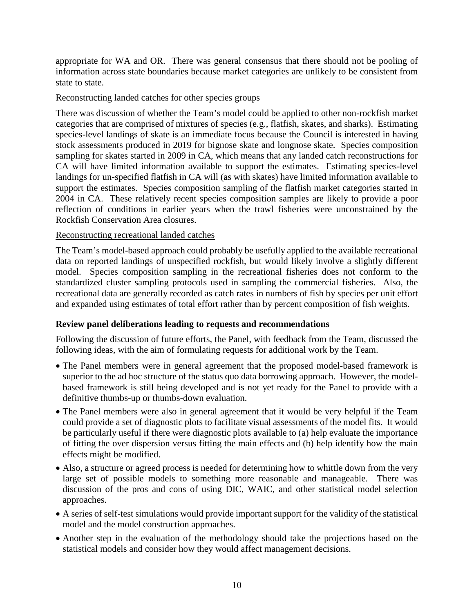appropriate for WA and OR. There was general consensus that there should not be pooling of information across state boundaries because market categories are unlikely to be consistent from state to state.

#### Reconstructing landed catches for other species groups

There was discussion of whether the Team's model could be applied to other non-rockfish market categories that are comprised of mixtures of species (e.g., flatfish, skates, and sharks). Estimating species-level landings of skate is an immediate focus because the Council is interested in having stock assessments produced in 2019 for bignose skate and longnose skate. Species composition sampling for skates started in 2009 in CA, which means that any landed catch reconstructions for CA will have limited information available to support the estimates. Estimating species-level landings for un-specified flatfish in CA will (as with skates) have limited information available to support the estimates. Species composition sampling of the flatfish market categories started in 2004 in CA. These relatively recent species composition samples are likely to provide a poor reflection of conditions in earlier years when the trawl fisheries were unconstrained by the Rockfish Conservation Area closures.

### Reconstructing recreational landed catches

The Team's model-based approach could probably be usefully applied to the available recreational data on reported landings of unspecified rockfish, but would likely involve a slightly different model. Species composition sampling in the recreational fisheries does not conform to the standardized cluster sampling protocols used in sampling the commercial fisheries. Also, the recreational data are generally recorded as catch rates in numbers of fish by species per unit effort and expanded using estimates of total effort rather than by percent composition of fish weights.

## **Review panel deliberations leading to requests and recommendations**

Following the discussion of future efforts, the Panel, with feedback from the Team, discussed the following ideas, with the aim of formulating requests for additional work by the Team.

- The Panel members were in general agreement that the proposed model-based framework is superior to the ad hoc structure of the status quo data borrowing approach. However, the modelbased framework is still being developed and is not yet ready for the Panel to provide with a definitive thumbs-up or thumbs-down evaluation.
- The Panel members were also in general agreement that it would be very helpful if the Team could provide a set of diagnostic plots to facilitate visual assessments of the model fits. It would be particularly useful if there were diagnostic plots available to (a) help evaluate the importance of fitting the over dispersion versus fitting the main effects and (b) help identify how the main effects might be modified.
- Also, a structure or agreed process is needed for determining how to whittle down from the very large set of possible models to something more reasonable and manageable. There was discussion of the pros and cons of using DIC, WAIC, and other statistical model selection approaches.
- A series of self-test simulations would provide important support for the validity of the statistical model and the model construction approaches.
- Another step in the evaluation of the methodology should take the projections based on the statistical models and consider how they would affect management decisions.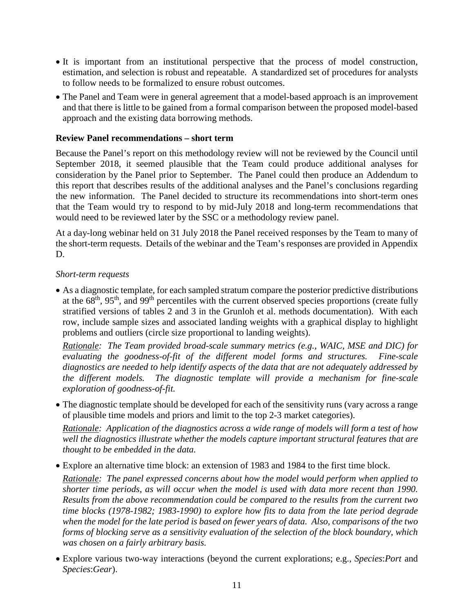- It is important from an institutional perspective that the process of model construction, estimation, and selection is robust and repeatable. A standardized set of procedures for analysts to follow needs to be formalized to ensure robust outcomes.
- The Panel and Team were in general agreement that a model-based approach is an improvement and that there is little to be gained from a formal comparison between the proposed model-based approach and the existing data borrowing methods.

### **Review Panel recommendations – short term**

Because the Panel's report on this methodology review will not be reviewed by the Council until September 2018, it seemed plausible that the Team could produce additional analyses for consideration by the Panel prior to September. The Panel could then produce an Addendum to this report that describes results of the additional analyses and the Panel's conclusions regarding the new information. The Panel decided to structure its recommendations into short-term ones that the Team would try to respond to by mid-July 2018 and long-term recommendations that would need to be reviewed later by the SSC or a methodology review panel.

At a day-long webinar held on 31 July 2018 the Panel received responses by the Team to many of the short-term requests. Details of the webinar and the Team's responses are provided in Appendix D.

### *Short-term requests*

• As a diagnostic template, for each sampled stratum compare the posterior predictive distributions at the 68<sup>th</sup>, 95<sup>th</sup>, and 99<sup>th</sup> percentiles with the current observed species proportions (create fully stratified versions of tables 2 and 3 in the Grunloh et al. methods documentation). With each row, include sample sizes and associated landing weights with a graphical display to highlight problems and outliers (circle size proportional to landing weights).

*Rationale: The Team provided broad-scale summary metrics (e.g., WAIC, MSE and DIC) for evaluating the goodness-of-fit of the different model forms and structures. Fine-scale diagnostics are needed to help identify aspects of the data that are not adequately addressed by the different models. The diagnostic template will provide a mechanism for fine-scale exploration of goodness-of-fit.*

• The diagnostic template should be developed for each of the sensitivity runs (vary across a range of plausible time models and priors and limit to the top 2-3 market categories).

*Rationale: Application of the diagnostics across a wide range of models will form a test of how well the diagnostics illustrate whether the models capture important structural features that are thought to be embedded in the data.*

• Explore an alternative time block: an extension of 1983 and 1984 to the first time block.

*Rationale: The panel expressed concerns about how the model would perform when applied to shorter time periods, as will occur when the model is used with data more recent than 1990. Results from the above recommendation could be compared to the results from the current two time blocks (1978-1982; 1983-1990) to explore how fits to data from the late period degrade when the model for the late period is based on fewer years of data. Also, comparisons of the two forms of blocking serve as a sensitivity evaluation of the selection of the block boundary, which was chosen on a fairly arbitrary basis.*

• Explore various two-way interactions (beyond the current explorations; e.g., *Species*:*Port* and *Species*:*Gear*).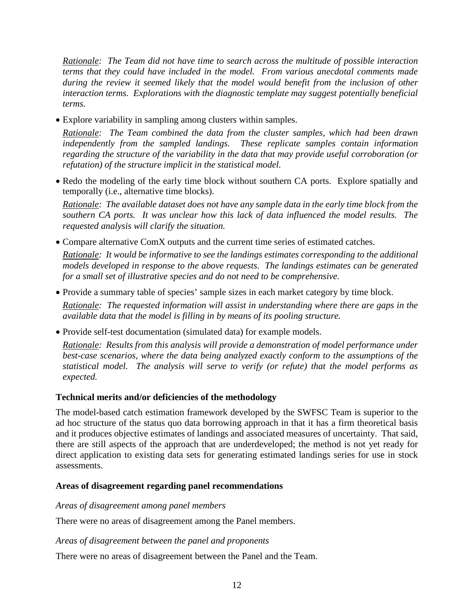*Rationale: The Team did not have time to search across the multitude of possible interaction terms that they could have included in the model. From various anecdotal comments made during the review it seemed likely that the model would benefit from the inclusion of other interaction terms. Explorations with the diagnostic template may suggest potentially beneficial terms.*

• Explore variability in sampling among clusters within samples.

*Rationale: The Team combined the data from the cluster samples, which had been drawn independently from the sampled landings. These replicate samples contain information regarding the structure of the variability in the data that may provide useful corroboration (or refutation) of the structure implicit in the statistical model.*

• Redo the modeling of the early time block without southern CA ports. Explore spatially and temporally (i.e., alternative time blocks).

*Rationale: The available dataset does not have any sample data in the early time block from the southern CA ports. It was unclear how this lack of data influenced the model results. The requested analysis will clarify the situation.*

• Compare alternative ComX outputs and the current time series of estimated catches.

*Rationale: It would be informative to see the landings estimates corresponding to the additional models developed in response to the above requests. The landings estimates can be generated for a small set of illustrative species and do not need to be comprehensive.*

• Provide a summary table of species' sample sizes in each market category by time block.

*Rationale: The requested information will assist in understanding where there are gaps in the available data that the model is filling in by means of its pooling structure.*

• Provide self-test documentation (simulated data) for example models.

*Rationale: Results from this analysis will provide a demonstration of model performance under best-case scenarios, where the data being analyzed exactly conform to the assumptions of the statistical model. The analysis will serve to verify (or refute) that the model performs as expected.*

## **Technical merits and/or deficiencies of the methodology**

The model-based catch estimation framework developed by the SWFSC Team is superior to the ad hoc structure of the status quo data borrowing approach in that it has a firm theoretical basis and it produces objective estimates of landings and associated measures of uncertainty. That said, there are still aspects of the approach that are underdeveloped; the method is not yet ready for direct application to existing data sets for generating estimated landings series for use in stock assessments.

#### **Areas of disagreement regarding panel recommendations**

#### *Areas of disagreement among panel members*

There were no areas of disagreement among the Panel members.

#### *Areas of disagreement between the panel and proponents*

There were no areas of disagreement between the Panel and the Team.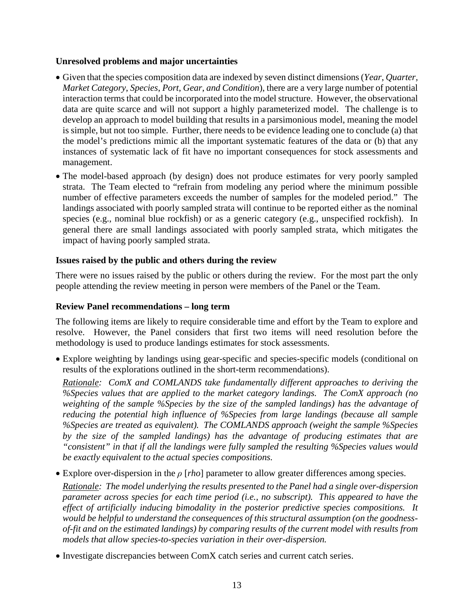#### **Unresolved problems and major uncertainties**

- Given that the species composition data are indexed by seven distinct dimensions (*Year*, *Quarter, Market Category*, *Species*, *Port*, *Gear*, *and Condition*), there are a very large number of potential interaction terms that could be incorporated into the model structure. However, the observational data are quite scarce and will not support a highly parameterized model. The challenge is to develop an approach to model building that results in a parsimonious model, meaning the model is simple, but not too simple. Further, there needs to be evidence leading one to conclude (a) that the model's predictions mimic all the important systematic features of the data or (b) that any instances of systematic lack of fit have no important consequences for stock assessments and management.
- The model-based approach (by design) does not produce estimates for very poorly sampled strata. The Team elected to "refrain from modeling any period where the minimum possible number of effective parameters exceeds the number of samples for the modeled period." The landings associated with poorly sampled strata will continue to be reported either as the nominal species (e.g., nominal blue rockfish) or as a generic category (e.g., unspecified rockfish). In general there are small landings associated with poorly sampled strata, which mitigates the impact of having poorly sampled strata.

## **Issues raised by the public and others during the review**

There were no issues raised by the public or others during the review. For the most part the only people attending the review meeting in person were members of the Panel or the Team.

## **Review Panel recommendations – long term**

The following items are likely to require considerable time and effort by the Team to explore and resolve. However, the Panel considers that first two items will need resolution before the methodology is used to produce landings estimates for stock assessments.

• Explore weighting by landings using gear-specific and species-specific models (conditional on results of the explorations outlined in the short-term recommendations).

*Rationale: ComX and COMLANDS take fundamentally different approaches to deriving the %Species values that are applied to the market category landings. The ComX approach (no weighting of the sample %Species by the size of the sampled landings) has the advantage of reducing the potential high influence of %Species from large landings (because all sample %Species are treated as equivalent). The COMLANDS approach (weight the sample %Species by the size of the sampled landings) has the advantage of producing estimates that are "consistent" in that if all the landings were fully sampled the resulting %Species values would be exactly equivalent to the actual species compositions.*

• Explore over-dispersion in the *ρ* [*rho*] parameter to allow greater differences among species.

*Rationale: The model underlying the results presented to the Panel had a single over-dispersion parameter across species for each time period (i.e., no subscript). This appeared to have the effect of artificially inducing bimodality in the posterior predictive species compositions. It would be helpful to understand the consequences of this structural assumption (on the goodnessof-fit and on the estimated landings) by comparing results of the current model with results from models that allow species-to-species variation in their over-dispersion.*

• Investigate discrepancies between ComX catch series and current catch series.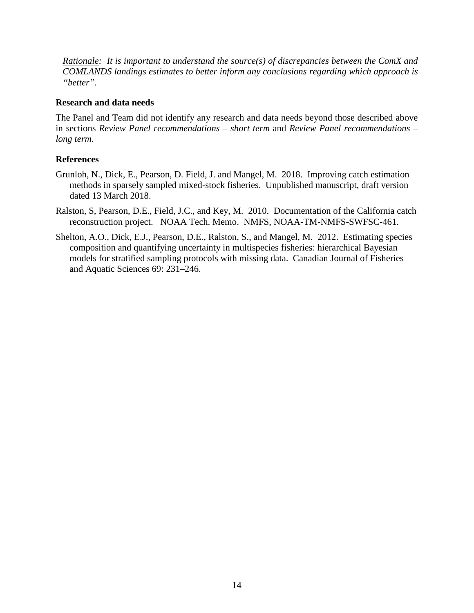*Rationale: It is important to understand the source(s) of discrepancies between the ComX and COMLANDS landings estimates to better inform any conclusions regarding which approach is "better".*

#### **Research and data needs**

The Panel and Team did not identify any research and data needs beyond those described above in sections *Review Panel recommendations – short term* and *Review Panel recommendations – long term*.

### **References**

- Grunloh, N., Dick, E., Pearson, D. Field, J. and Mangel, M. 2018. Improving catch estimation methods in sparsely sampled mixed-stock fisheries. Unpublished manuscript, draft version dated 13 March 2018.
- Ralston, S, Pearson, D.E., Field, J.C., and Key, M. 2010. Documentation of the California catch reconstruction project. NOAA Tech. Memo. NMFS, NOAA-TM-NMFS-SWFSC-461.
- Shelton, A.O., Dick, E.J., Pearson, D.E., Ralston, S., and Mangel, M. 2012. Estimating species composition and quantifying uncertainty in multispecies fisheries: hierarchical Bayesian models for stratified sampling protocols with missing data. Canadian Journal of Fisheries and Aquatic Sciences 69: 231–246.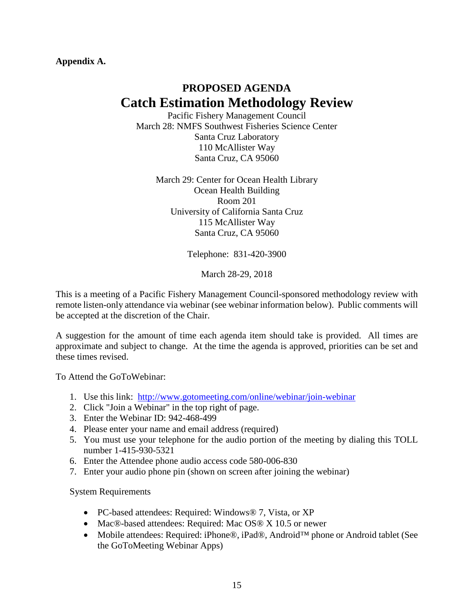**Appendix A.**

# **PROPOSED AGENDA Catch Estimation Methodology Review**

Pacific Fishery Management Council March 28: NMFS Southwest Fisheries Science Center Santa Cruz Laboratory 110 McAllister Way Santa Cruz, CA 95060

March 29: Center for Ocean Health Library Ocean Health Building Room 201 University of California Santa Cruz 115 McAllister Way Santa Cruz, CA 95060

Telephone: 831-420-3900

March 28-29, 2018

This is a meeting of a Pacific Fishery Management Council-sponsored methodology review with remote listen-only attendance via webinar (see webinar information below). Public comments will be accepted at the discretion of the Chair.

A suggestion for the amount of time each agenda item should take is provided. All times are approximate and subject to change. At the time the agenda is approved, priorities can be set and these times revised.

To Attend the GoToWebinar:

- 1. Use this link: <http://www.gotomeeting.com/online/webinar/join-webinar>
- 2. Click "Join a Webinar" in the top right of page.
- 3. Enter the Webinar ID: 942-468-499
- 4. Please enter your name and email address (required)
- 5. You must use your telephone for the audio portion of the meeting by dialing this TOLL number 1-415-930-5321
- 6. Enter the Attendee phone audio access code 580-006-830
- 7. Enter your audio phone pin (shown on screen after joining the webinar)

System Requirements

- PC-based attendees: Required: Windows® 7, Vista, or XP
- Mac®-based attendees: Required: Mac OS® X 10.5 or newer
- Mobile attendees: Required: iPhone®, iPad®, Android™ phone or Android tablet (See the GoToMeeting Webinar Apps)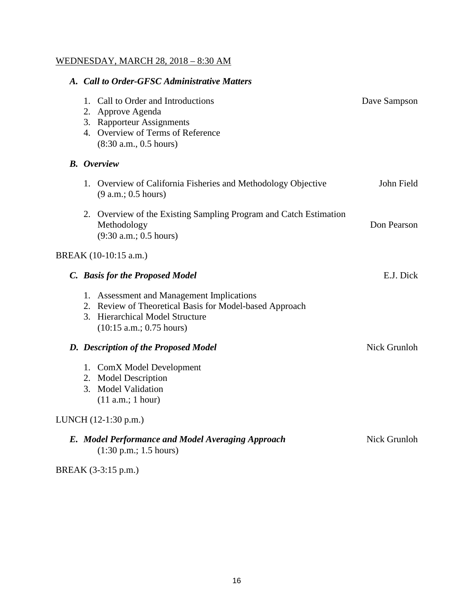# WEDNESDAY, MARCH 28, 2018 – 8:30 AM

| A. Call to Order-GFSC Administrative Matters                                                                                                                        |              |
|---------------------------------------------------------------------------------------------------------------------------------------------------------------------|--------------|
| 1. Call to Order and Introductions<br>2. Approve Agenda<br>3. Rapporteur Assignments<br>4. Overview of Terms of Reference<br>(8:30 a.m., 0.5 hours)                 | Dave Sampson |
| <b>B.</b> Overview                                                                                                                                                  |              |
| 1. Overview of California Fisheries and Methodology Objective<br>(9 a.m.: 0.5 hours)                                                                                | John Field   |
| 2. Overview of the Existing Sampling Program and Catch Estimation<br>Methodology<br>(9:30 a.m.; 0.5 hours)                                                          | Don Pearson  |
| BREAK (10-10:15 a.m.)                                                                                                                                               |              |
| C. Basis for the Proposed Model                                                                                                                                     | E.J. Dick    |
| 1. Assessment and Management Implications<br>2. Review of Theoretical Basis for Model-based Approach<br>3. Hierarchical Model Structure<br>(10:15 a.m.; 0.75 hours) |              |
| D. Description of the Proposed Model                                                                                                                                | Nick Grunloh |
| 1. ComX Model Development<br>2. Model Description<br>3. Model Validation<br>(11 a.m.; 1 hour)                                                                       |              |
| LUNCH (12-1:30 p.m.)                                                                                                                                                |              |
| E. Model Performance and Model Averaging Approach<br>$(1:30 \text{ p.m.}; 1.5 \text{ hours})$                                                                       | Nick Grunloh |
| BREAK (3-3:15 p.m.)                                                                                                                                                 |              |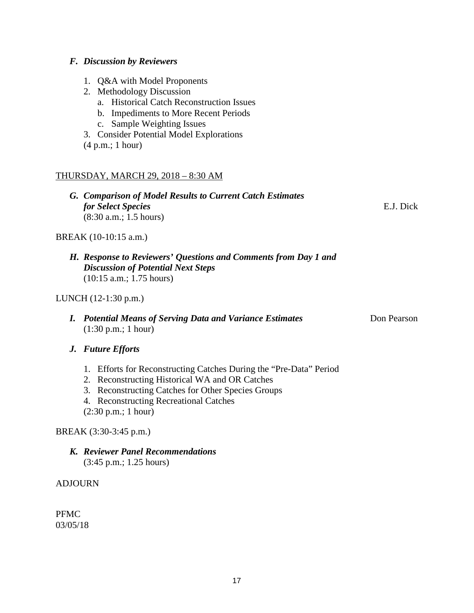## *F. Discussion by Reviewers*

- 1. Q&A with Model Proponents
- 2. Methodology Discussion
	- a. Historical Catch Reconstruction Issues
	- b. Impediments to More Recent Periods
	- c. Sample Weighting Issues
- 3. Consider Potential Model Explorations
- (4 p.m.; 1 hour)

## THURSDAY, MARCH 29, 2018 – 8:30 AM

|                | G. Comparison of Model Results to Current Catch Estimates<br>for Select Species<br>(8:30 a.m.; 1.5 hours)                                                                                                                                                     | E.J. Dick   |
|----------------|---------------------------------------------------------------------------------------------------------------------------------------------------------------------------------------------------------------------------------------------------------------|-------------|
|                | BREAK (10-10:15 a.m.)                                                                                                                                                                                                                                         |             |
|                | H. Response to Reviewers' Questions and Comments from Day 1 and<br><b>Discussion of Potential Next Steps</b><br>$(10:15$ a.m.; 1.75 hours)                                                                                                                    |             |
|                | LUNCH (12-1:30 p.m.)                                                                                                                                                                                                                                          |             |
| L.             | <b>Potential Means of Serving Data and Variance Estimates</b><br>$(1:30 \text{ p.m.}; 1 \text{ hour})$                                                                                                                                                        | Don Pearson |
|                | J. Future Efforts                                                                                                                                                                                                                                             |             |
|                | 1. Efforts for Reconstructing Catches During the "Pre-Data" Period<br>2. Reconstructing Historical WA and OR Catches<br>3. Reconstructing Catches for Other Species Groups<br>4. Reconstructing Recreational Catches<br>$(2:30 \text{ p.m.}; 1 \text{ hour})$ |             |
|                | BREAK (3:30-3:45 p.m.)                                                                                                                                                                                                                                        |             |
|                | K. Reviewer Panel Recommendations<br>$(3:45 \text{ p.m.}; 1.25 \text{ hours})$                                                                                                                                                                                |             |
| <b>ADJOURN</b> |                                                                                                                                                                                                                                                               |             |

PFMC 03/05/18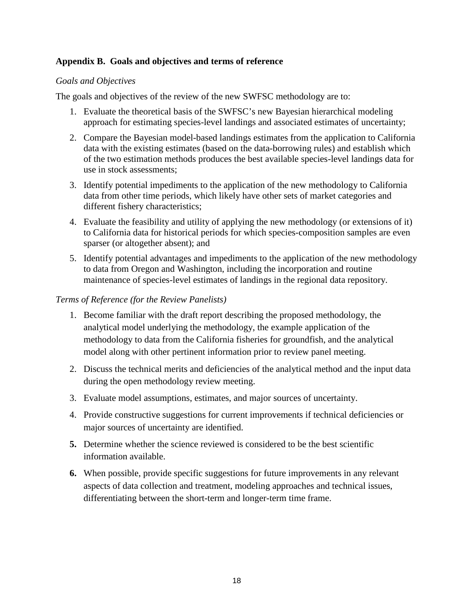### **Appendix B. Goals and objectives and terms of reference**

#### *Goals and Objectives*

The goals and objectives of the review of the new SWFSC methodology are to:

- 1. Evaluate the theoretical basis of the SWFSC's new Bayesian hierarchical modeling approach for estimating species-level landings and associated estimates of uncertainty;
- 2. Compare the Bayesian model-based landings estimates from the application to California data with the existing estimates (based on the data-borrowing rules) and establish which of the two estimation methods produces the best available species-level landings data for use in stock assessments;
- 3. Identify potential impediments to the application of the new methodology to California data from other time periods, which likely have other sets of market categories and different fishery characteristics;
- 4. Evaluate the feasibility and utility of applying the new methodology (or extensions of it) to California data for historical periods for which species-composition samples are even sparser (or altogether absent); and
- 5. Identify potential advantages and impediments to the application of the new methodology to data from Oregon and Washington, including the incorporation and routine maintenance of species-level estimates of landings in the regional data repository.

#### *Terms of Reference (for the Review Panelists)*

- 1. Become familiar with the draft report describing the proposed methodology, the analytical model underlying the methodology, the example application of the methodology to data from the California fisheries for groundfish, and the analytical model along with other pertinent information prior to review panel meeting.
- 2. Discuss the technical merits and deficiencies of the analytical method and the input data during the open methodology review meeting.
- 3. Evaluate model assumptions, estimates, and major sources of uncertainty.
- 4. Provide constructive suggestions for current improvements if technical deficiencies or major sources of uncertainty are identified.
- **5.** Determine whether the science reviewed is considered to be the best scientific information available.
- **6.** When possible, provide specific suggestions for future improvements in any relevant aspects of data collection and treatment, modeling approaches and technical issues, differentiating between the short-term and longer-term time frame.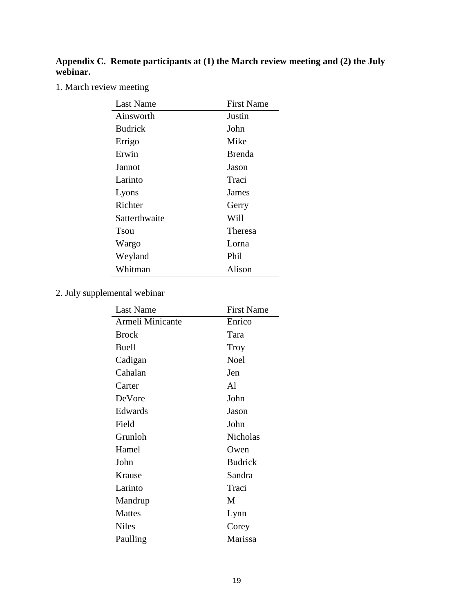#### **Appendix C. Remote participants at (1) the March review meeting and (2) the July webinar.**

1. March review meeting

| Last Name      | <b>First Name</b> |
|----------------|-------------------|
| Ainsworth      | Justin            |
| <b>Budrick</b> | John              |
| Errigo         | Mike              |
| Erwin          | <b>Brenda</b>     |
| Jannot         | Jason             |
| Larinto        | Traci             |
| Lyons          | James             |
| Richter        | Gerry             |
| Satterthwaite  | Will              |
| Tsou           | Theresa           |
| Wargo          | Lorna             |
| Weyland        | Phil              |
| Whitman        | Alison            |
|                |                   |

2. July supplemental webinar

| Last Name        | <b>First Name</b> |
|------------------|-------------------|
| Armeli Minicante | Enrico            |
| <b>Brock</b>     | Tara              |
| Buell            | Troy              |
| Cadigan          | Noel              |
| Cahalan          | Jen               |
| Carter           | Al                |
| DeVore           | John              |
| Edwards          | Jason             |
| Field            | John              |
| Grunloh          | <b>Nicholas</b>   |
| Hamel            | Owen              |
| John             | <b>Budrick</b>    |
| Krause           | Sandra            |
| Larinto          | Traci             |
| Mandrup          | M                 |
| <b>Mattes</b>    | Lynn              |
| <b>Niles</b>     | Corey             |
| Paulling         | Marissa           |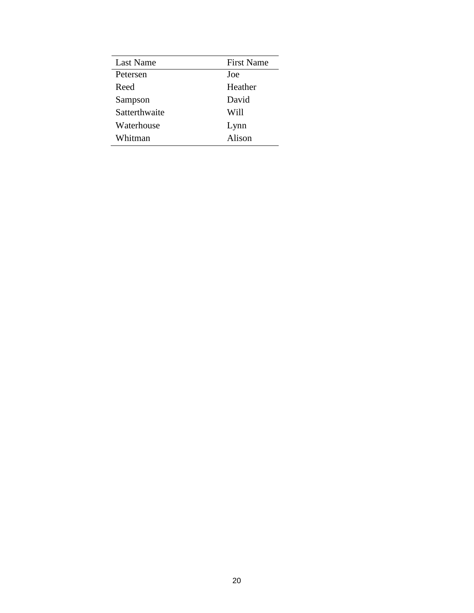| Last Name     | <b>First Name</b> |
|---------------|-------------------|
| Petersen      | Joe               |
| Reed          | Heather           |
| Sampson       | David             |
| Satterthwaite | Will              |
| Waterhouse    | Lynn              |
| Whitman       | Alison            |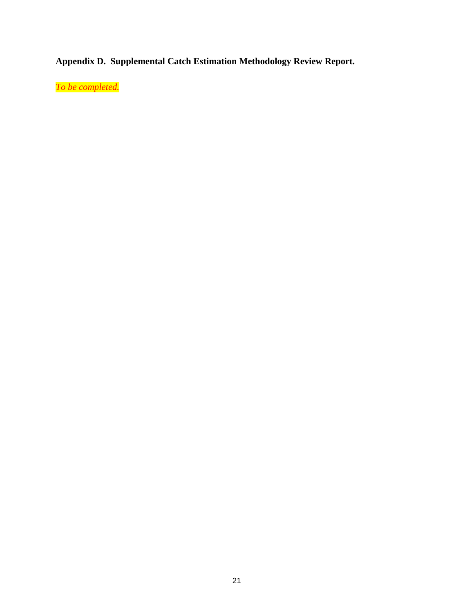**Appendix D. Supplemental Catch Estimation Methodology Review Report.**

*To be completed.*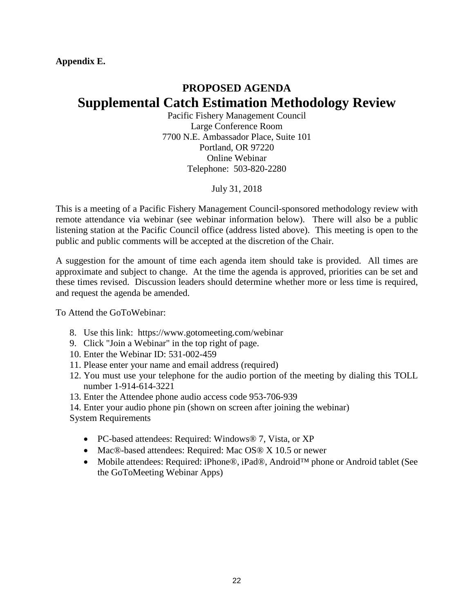**Appendix E.**

# **PROPOSED AGENDA Supplemental Catch Estimation Methodology Review**

Pacific Fishery Management Council Large Conference Room 7700 N.E. Ambassador Place, Suite 101 Portland, OR 97220 Online Webinar Telephone: 503-820-2280

July 31, 2018

This is a meeting of a Pacific Fishery Management Council-sponsored methodology review with remote attendance via webinar (see webinar information below). There will also be a public listening station at the Pacific Council office (address listed above). This meeting is open to the public and public comments will be accepted at the discretion of the Chair.

A suggestion for the amount of time each agenda item should take is provided. All times are approximate and subject to change. At the time the agenda is approved, priorities can be set and these times revised. Discussion leaders should determine whether more or less time is required, and request the agenda be amended.

To Attend the GoToWebinar:

- 8. Use this link: https://www.gotomeeting.com/webinar
- 9. Click "Join a Webinar" in the top right of page.
- 10. Enter the Webinar ID: 531-002-459
- 11. Please enter your name and email address (required)
- 12. You must use your telephone for the audio portion of the meeting by dialing this TOLL number 1-914-614-3221
- 13. Enter the Attendee phone audio access code 953-706-939
- 14. Enter your audio phone pin (shown on screen after joining the webinar)
- System Requirements
	- PC-based attendees: Required: Windows® 7, Vista, or XP
	- Mac®-based attendees: Required: Mac OS® X 10.5 or newer
	- Mobile attendees: Required: iPhone®, iPad®, Android™ phone or Android tablet (See the GoToMeeting Webinar Apps)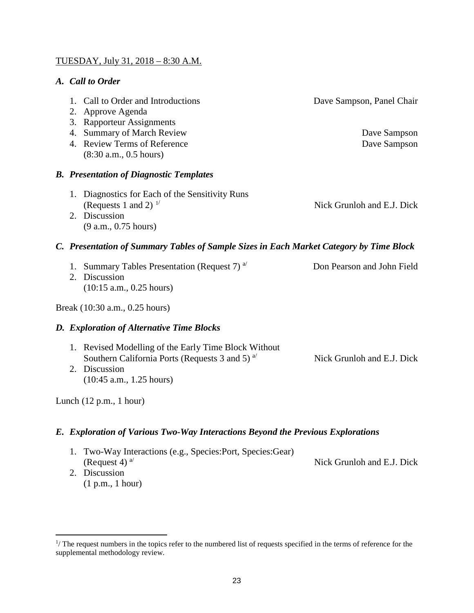### TUESDAY, July 31, 2018 – 8:30 A.M.

## *A. Call to Order*

|                                           |                                                                                         | 1. Call to Order and Introductions<br>2. Approve Agenda<br>3. Rapporteur Assignments<br>4. Summary of March Review | Dave Sampson, Panel Chair<br>Dave Sampson |
|-------------------------------------------|-----------------------------------------------------------------------------------------|--------------------------------------------------------------------------------------------------------------------|-------------------------------------------|
|                                           |                                                                                         | 4. Review Terms of Reference<br>(8:30 a.m., 0.5 hours)                                                             | Dave Sampson                              |
|                                           | <b>B.</b> Presentation of Diagnostic Templates                                          |                                                                                                                    |                                           |
|                                           |                                                                                         | 1. Diagnostics for Each of the Sensitivity Runs<br>(Requests 1 and 2) $^{1/}$                                      | Nick Grunloh and E.J. Dick                |
|                                           |                                                                                         | 2. Discussion<br>(9 a.m., 0.75 hours)                                                                              |                                           |
|                                           | C. Presentation of Summary Tables of Sample Sizes in Each Market Category by Time Block |                                                                                                                    |                                           |
|                                           | 2.                                                                                      | 1. Summary Tables Presentation (Request 7) <sup>a/</sup><br>Discussion<br>$(10:15$ a.m., 0.25 hours)               | Don Pearson and John Field                |
| Break (10:30 a.m., 0.25 hours)            |                                                                                         |                                                                                                                    |                                           |
|                                           |                                                                                         | D. Exploration of Alternative Time Blocks                                                                          |                                           |
|                                           |                                                                                         | 1. Revised Modelling of the Early Time Block Without<br>Southern California Ports (Requests 3 and 5) $a^{1/2}$     | Nick Grunloh and E.J. Dick                |
|                                           |                                                                                         | 2. Discussion<br>$(10:45$ a.m., 1.25 hours)                                                                        |                                           |
| Lunch $(12 \text{ p.m.}, 1 \text{ hour})$ |                                                                                         |                                                                                                                    |                                           |

# *E. Exploration of Various Two-Way Interactions Beyond the Previous Explorations*

- 1. Two-Way Interactions (e.g., Species:Port, Species:Gear) (Request 4)<sup>a</sup> Nick Grunloh and E.J. Dick 2. Discussion
	- (1 p.m., 1 hour)

<span id="page-22-0"></span> $\frac{1}{1}$  $\frac{1}{1}$  The request numbers in the topics refer to the numbered list of requests specified in the terms of reference for the supplemental methodology review.